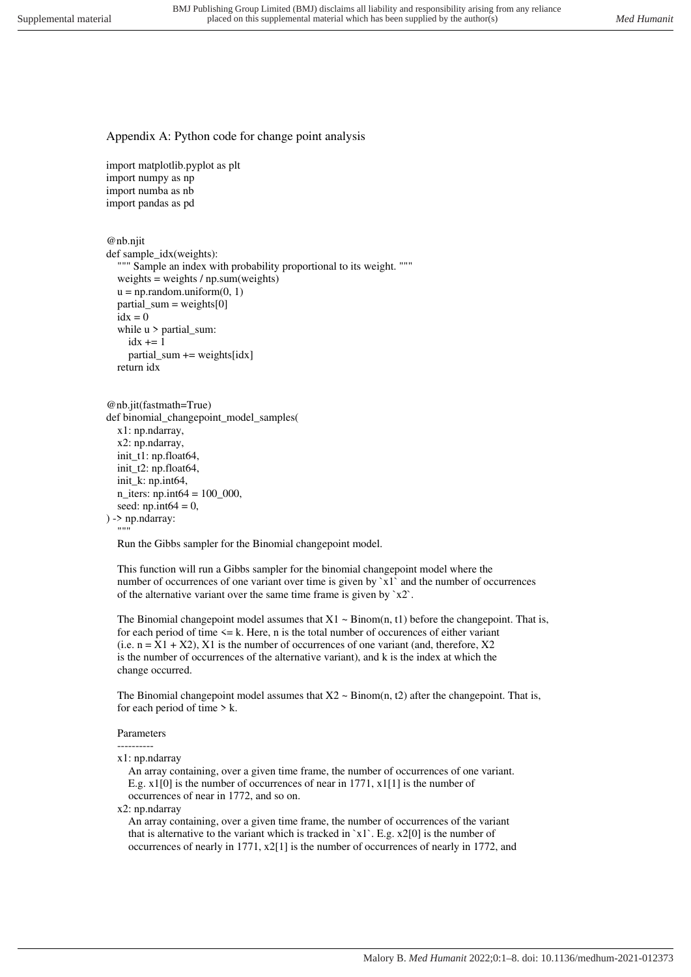## Appendix A: Python code for change point analysis

import matplotlib.pyplot as plt import numpy as np import numba as nb import pandas as pd

@nb.njit

```
def sample idx(weights):
  """ Sample an index with probability proportional to its weight. """
  weights = weights / np.sum(weights)
  u = np.random.uniform(0, 1)partial_sum = weights[0]\bar{idx} = 0while u > partial_sum:
    idx += 1 partial_sum += weights[idx] 
   return idx
```

```
@nb.jit(fastmath=True) 
def binomial_changepoint_model_samples( 
   x1: np.ndarray, 
   x2: np.ndarray, 
  init_t1: np.float64,
  init_t2: np.float64,
   init_k: np.int64, 
  n iters: np.int64 = 100 000,
  seed: np.int64 = 0,
) -> np.ndarray: 
  "'''"
```
Run the Gibbs sampler for the Binomial changepoint model.

 This function will run a Gibbs sampler for the binomial changepoint model where the number of occurrences of one variant over time is given by  $x1$  and the number of occurrences of the alternative variant over the same time frame is given by  $x^2$ .

The Binomial changepoint model assumes that  $X1 \sim Binom(n, t1)$  before the changepoint. That is, for each period of time  $\leq k$ . Here, n is the total number of occurences of either variant (i.e.  $n = X1 + X2$ ), X1 is the number of occurrences of one variant (and, therefore, X2) is the number of occurrences of the alternative variant), and k is the index at which the change occurred.

The Binomial changepoint model assumes that  $X2 \sim Binom(n, t2)$  after the changepoint. That is, for each period of time  $> k$ .

## Parameters

 --------- x1: np.ndarray

 An array containing, over a given time frame, the number of occurrences of one variant. E.g. x1[0] is the number of occurrences of near in 1771, x1[1] is the number of occurrences of near in 1772, and so on.

x2: np.ndarray

 An array containing, over a given time frame, the number of occurrences of the variant that is alternative to the variant which is tracked in  $x1$ . E.g.  $x2[0]$  is the number of occurrences of nearly in 1771, x2[1] is the number of occurrences of nearly in 1772, and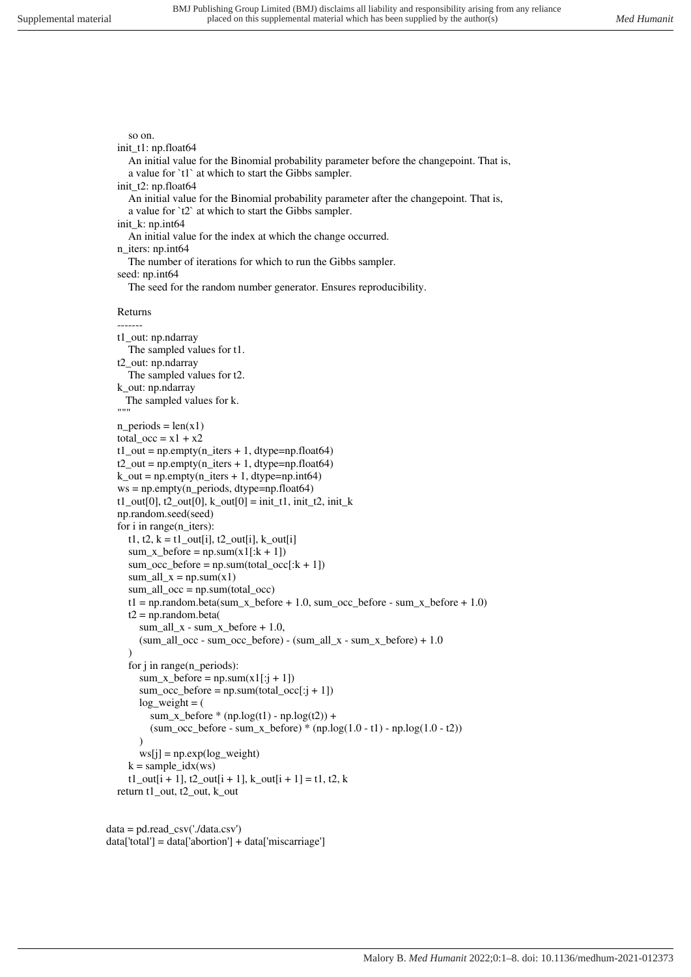An initial value for the Binomial probability parameter before the changepoint. That is,

## so on.

init\_t1: np.float64

```
 a value for `t1` at which to start the Gibbs sampler. 
  init_t2: np.float64
     An initial value for the Binomial probability parameter after the changepoint. That is, 
     a value for `t2` at which to start the Gibbs sampler. 
  init_k: np.int64
     An initial value for the index at which the change occurred. 
  n_iters: np.int64
     The number of iterations for which to run the Gibbs sampler. 
   seed: np.int64 
     The seed for the random number generator. Ensures reproducibility. 
   Returns 
 -------
   t1_out: np.ndarray 
     The sampled values for t1. 
   t2_out: np.ndarray 
     The sampled values for t2. 
   k_out: np.ndarray 
     The sampled values for k. 
  """
  n periods = len(x1)total_occ = x1 + x2t1<sub>out</sub> = np.empty(n_iters + 1, dtype=np.float64)
  t2_out = np.empty(n_iters + 1, dtype=np.float64)
  k_out = np.empty(n_iters + 1, dtype=np.int64)
  ws = np.empty(n_periods, dtype=np.float64)
  t1_out[0], t2_out[0], k_out[0] = init_t1, init_t2, init_k
   np.random.seed(seed) 
   for i in range(n_iters): 
    t1, t2, k = t1 _out[i], t2 _out[i], k _out[i]
    sum_x_b before = np.sum(x1[:k + 1])sum\_occ\_before = np.sum(total\_occ[:k + 1])sum\_all_x = np.sum(x1) sum_all_occ = np.sum(total_occ) 
    t1 = np.random.beta(sum_x_before + 1.0, sum_occ_before - sum_x_before + 1.0)t2 = np.random.beta(sum_all_x - sum_x_b before + 1.0,
       (sum\_all\_occ - sum\_occ\_before) - (sum\_all\_x - sum\_x\_before) + 1.0\overline{\phantom{a}} for j in range(n_periods): 
       sum_x between p.sum(x1[:j + 1])sum_occ_before = np.sum(total_occ[:j + 1])
       log weight = (sum_x_before *(np.log(t1) - np.log(t2)) +(sum\_occ\_before - sum_x\_before) * (np.log(1.0 - t1) - np.log(1.0 - t2))\lambdaws[j] = np.exp(log\_weight)k = sample_idx(ws)t1_out[i + 1], t2_out[i + 1], k_out[i + 1] = t1, t2, k return t1_out, t2_out, k_out
```

```
data = pd.read.csv('./data.csv')data['total'] = data['abortion'] + data['miscarriage']
```